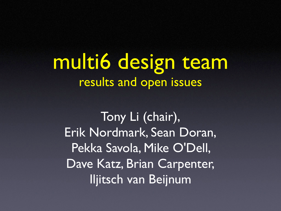multi6 design team results and open issues

Tony Li (chair), Erik Nordmark, Sean Doran, Pekka Savola, Mike O'Dell, Dave Katz, Brian Carpenter, Iljitsch van Beijnum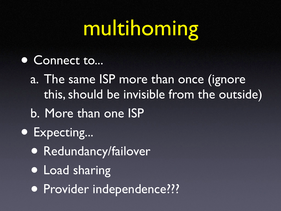# multihoming

• Connect to...

a. The same ISP more than once (ignore this, should be invisible from the outside)

- b. More than one ISP
- Expecting...
	- Redundancy/failover
	- Load sharing
	- Provider independence???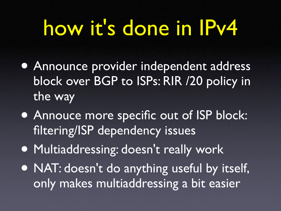#### how it's done in IPv4

- Announce provider independent address block over BGP to ISPs: RIR /20 policy in the way
- Annouce more specific out of ISP block: filtering/ISP dependency issues
- Multiaddressing: doesn't really work
- NAT: doesn't do anything useful by itself, only makes multiaddressing a bit easier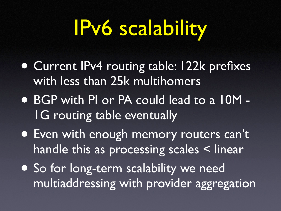#### IPv6 scalability

- Current IPv4 routing table: 122k prefixes with less than 25k multihomers
- BGP with PI or PA could lead to a 10M 1G routing table eventually
- Even with enough memory routers can't handle this as processing scales < linear
- So for long-term scalability we need multiaddressing with provider aggregation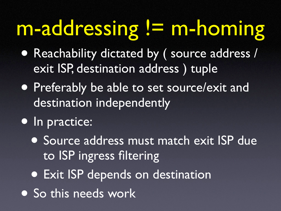## m-addressing != m-homing

- Reachability dictated by ( source address / exit ISP, destination address ) tuple
- Preferably be able to set source/exit and destination independently
- In practice:
	- Source address must match exit ISP due to ISP ingress filtering
	- Exit ISP depends on destination
- So this needs work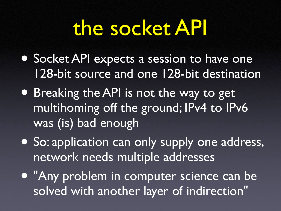#### the socket API

- Socket API expects a session to have one 128-bit source and one 128-bit destination
- Breaking the API is not the way to get multihoming off the ground; IPv4 to IPv6 was (is) bad enough
- So: application can only supply one address, network needs multiple addresses
- "Any problem in computer science can be solved with another layer of indirection"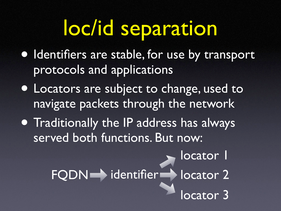#### loc/id separation

- Identifiers are stable, for use by transport protocols and applications
- Locators are subject to change, used to navigate packets through the network
- Traditionally the IP address has always served both functions. But now:

FQDN identifier locator 2

locator 3

locator I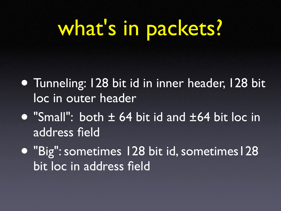## what's in packets?

- Tunneling: 128 bit id in inner header, 128 bit loc in outer header
- "Small": both ± 64 bit id and ±64 bit loc in address field
- "Big":sometimes 128 bit id,sometimes128 bit loc in address field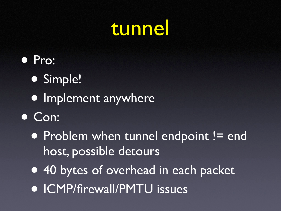#### tunnel

Pro: • Simple! • Implement anywhere • Con: • Problem when tunnel endpoint != end host, possible detours • 40 bytes of overhead in each packet • ICMP/firewall/PMTU issues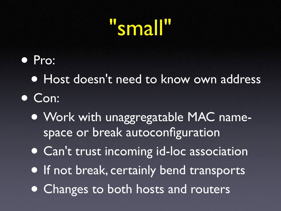#### small<sup>u</sup>

- Pro:
	- Host doesn't need to know own address
- Con:
	- Work with unaggregatable MAC namespace or break autoconfiguration
	- Can't trust incoming id-loc association
	- If not break, certainly bend transports
	- Changes to both hosts and routers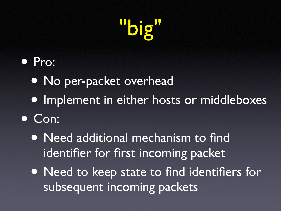

- Pro:
	- No per-packet overhead
	- Implement in either hosts or middleboxes
- Con:
	- Need additional mechanism to find identifier for first incoming packet
	- Need to keep state to find identifiers for subsequent incoming packets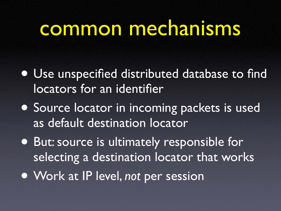#### common mechanisms

- Use unspecified distributed database to find locators for an identifier
- Source locator in incoming packets is used as default destination locator
- But:source is ultimately responsible for selecting a destination locator that works
- Work at IP level, *not* per session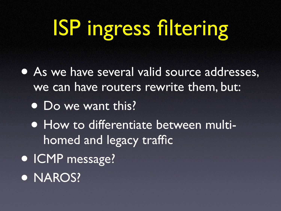# ISP ingress filtering

• As we have several valid source addresses, we can have routers rewrite them, but: • Do we want this? • How to differentiate between multihomed and legacy traffic • ICMP message? **• NAROS?**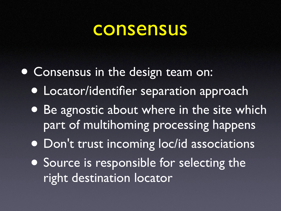#### consensus

- Consensus in the design team on:
	- Locator/identifier separation approach
	- Be agnostic about where in the site which part of multihoming processing happens
	- Don't trust incoming loc/id associations
	- Source is responsible for selecting the right destination locator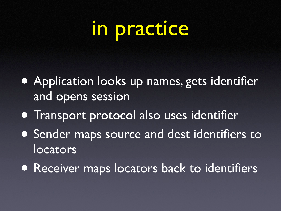#### in practice

- Application looks up names, gets identifier and opens session
- Transport protocol also uses identifier
- Sender maps source and dest identifiers to locators
- Receiver maps locators back to identifiers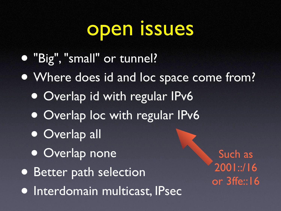#### open issues

- "Big","small" or tunnel?
- Where does id and loc space come from?
	- Overlap id with regular IPv6
	- Overlap loc with regular IPv6
	- Overlap all
	- Overlap none
- Better path selection
- Interdomain multicast, IPsec

Such as 2001::/16 or 3ffe::16